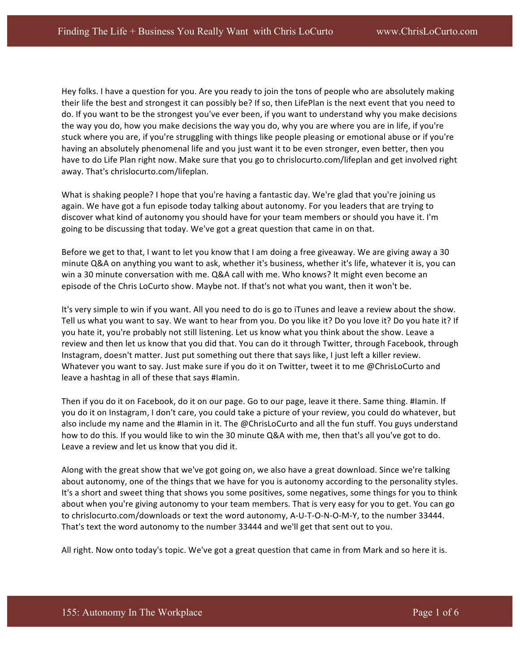Hey folks. I have a question for you. Are you ready to join the tons of people who are absolutely making their life the best and strongest it can possibly be? If so, then LifePlan is the next event that you need to do. If you want to be the strongest you've ever been, if you want to understand why you make decisions the way you do, how you make decisions the way you do, why you are where you are in life, if you're stuck where you are, if you're struggling with things like people pleasing or emotional abuse or if you're having an absolutely phenomenal life and you just want it to be even stronger, even better, then you have to do Life Plan right now. Make sure that you go to chrislocurto.com/lifeplan and get involved right away. That's chrislocurto.com/lifeplan.

What is shaking people? I hope that you're having a fantastic day. We're glad that you're joining us again. We have got a fun episode today talking about autonomy. For you leaders that are trying to discover what kind of autonomy you should have for your team members or should you have it. I'm going to be discussing that today. We've got a great question that came in on that.

Before we get to that, I want to let you know that I am doing a free giveaway. We are giving away a 30 minute Q&A on anything you want to ask, whether it's business, whether it's life, whatever it is, you can win a 30 minute conversation with me. Q&A call with me. Who knows? It might even become an episode of the Chris LoCurto show. Maybe not. If that's not what you want, then it won't be.

It's very simple to win if you want. All you need to do is go to iTunes and leave a review about the show. Tell us what you want to say. We want to hear from you. Do you like it? Do you love it? Do you hate it? If you hate it, you're probably not still listening. Let us know what you think about the show. Leave a review and then let us know that you did that. You can do it through Twitter, through Facebook, through Instagram, doesn't matter. Just put something out there that says like, I just left a killer review. Whatever you want to say. Just make sure if you do it on Twitter, tweet it to me @ChrisLoCurto and leave a hashtag in all of these that says #Iamin.

Then if you do it on Facebook, do it on our page. Go to our page, leave it there. Same thing. #Iamin. If you do it on Instagram, I don't care, you could take a picture of your review, you could do whatever, but also include my name and the #Iamin in it. The @ChrisLoCurto and all the fun stuff. You guys understand how to do this. If you would like to win the 30 minute Q&A with me, then that's all you've got to do. Leave a review and let us know that you did it.

Along with the great show that we've got going on, we also have a great download. Since we're talking about autonomy, one of the things that we have for you is autonomy according to the personality styles. It's a short and sweet thing that shows you some positives, some negatives, some things for you to think about when you're giving autonomy to your team members. That is very easy for you to get. You can go to chrislocurto.com/downloads or text the word autonomy, A-U-T-O-N-O-M-Y, to the number 33444. That's text the word autonomy to the number 33444 and we'll get that sent out to you.

All right. Now onto today's topic. We've got a great question that came in from Mark and so here it is.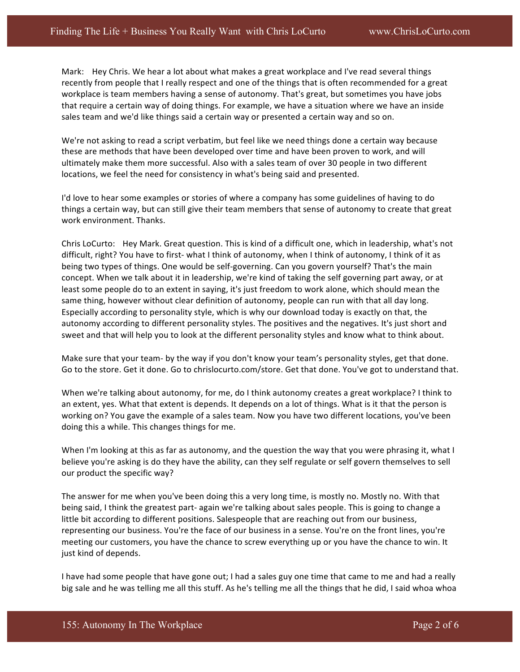Mark: Hey Chris. We hear a lot about what makes a great workplace and I've read several things recently from people that I really respect and one of the things that is often recommended for a great workplace is team members having a sense of autonomy. That's great, but sometimes you have jobs that require a certain way of doing things. For example, we have a situation where we have an inside sales team and we'd like things said a certain way or presented a certain way and so on.

We're not asking to read a script verbatim, but feel like we need things done a certain way because these are methods that have been developed over time and have been proven to work, and will ultimately make them more successful. Also with a sales team of over 30 people in two different locations, we feel the need for consistency in what's being said and presented.

I'd love to hear some examples or stories of where a company has some guidelines of having to do things a certain way, but can still give their team members that sense of autonomy to create that great work environment. Thanks.

Chris LoCurto: Hey Mark. Great question. This is kind of a difficult one, which in leadership, what's not difficult, right? You have to first- what I think of autonomy, when I think of autonomy, I think of it as being two types of things. One would be self-governing. Can you govern yourself? That's the main concept. When we talk about it in leadership, we're kind of taking the self governing part away, or at least some people do to an extent in saying, it's just freedom to work alone, which should mean the same thing, however without clear definition of autonomy, people can run with that all day long. Especially according to personality style, which is why our download today is exactly on that, the autonomy according to different personality styles. The positives and the negatives. It's just short and sweet and that will help you to look at the different personality styles and know what to think about.

Make sure that your team- by the way if you don't know your team's personality styles, get that done. Go to the store. Get it done. Go to chrislocurto.com/store. Get that done. You've got to understand that.

When we're talking about autonomy, for me, do I think autonomy creates a great workplace? I think to an extent, yes. What that extent is depends. It depends on a lot of things. What is it that the person is working on? You gave the example of a sales team. Now you have two different locations, you've been doing this a while. This changes things for me.

When I'm looking at this as far as autonomy, and the question the way that you were phrasing it, what I believe you're asking is do they have the ability, can they self regulate or self govern themselves to sell our product the specific way?

The answer for me when you've been doing this a very long time, is mostly no. Mostly no. With that being said, I think the greatest part- again we're talking about sales people. This is going to change a little bit according to different positions. Salespeople that are reaching out from our business, representing our business. You're the face of our business in a sense. You're on the front lines, you're meeting our customers, you have the chance to screw everything up or you have the chance to win. It just kind of depends.

I have had some people that have gone out; I had a sales guy one time that came to me and had a really big sale and he was telling me all this stuff. As he's telling me all the things that he did, I said whoa whoa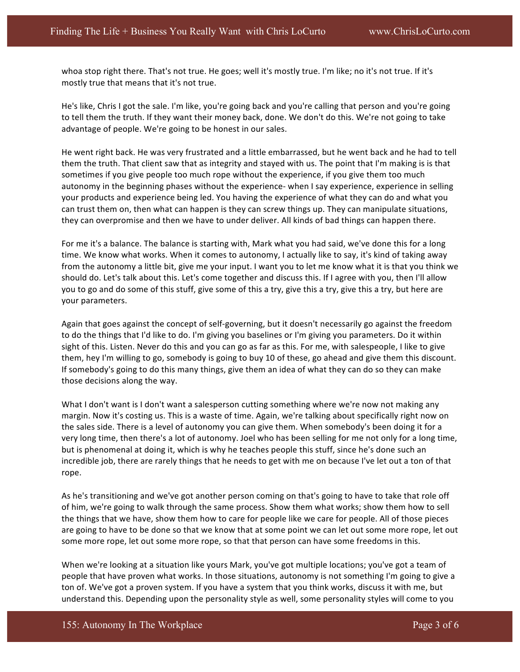whoa stop right there. That's not true. He goes; well it's mostly true. I'm like; no it's not true. If it's mostly true that means that it's not true.

He's like, Chris I got the sale. I'm like, you're going back and you're calling that person and you're going to tell them the truth. If they want their money back, done. We don't do this. We're not going to take advantage of people. We're going to be honest in our sales.

He went right back. He was very frustrated and a little embarrassed, but he went back and he had to tell them the truth. That client saw that as integrity and stayed with us. The point that I'm making is is that sometimes if you give people too much rope without the experience, if you give them too much autonomy in the beginning phases without the experience- when I say experience, experience in selling your products and experience being led. You having the experience of what they can do and what you can trust them on, then what can happen is they can screw things up. They can manipulate situations, they can overpromise and then we have to under deliver. All kinds of bad things can happen there.

For me it's a balance. The balance is starting with, Mark what you had said, we've done this for a long time. We know what works. When it comes to autonomy, I actually like to say, it's kind of taking away from the autonomy a little bit, give me your input. I want you to let me know what it is that you think we should do. Let's talk about this. Let's come together and discuss this. If I agree with you, then I'll allow you to go and do some of this stuff, give some of this a try, give this a try, give this a try, but here are your parameters.

Again that goes against the concept of self-governing, but it doesn't necessarily go against the freedom to do the things that I'd like to do. I'm giving you baselines or I'm giving you parameters. Do it within sight of this. Listen. Never do this and you can go as far as this. For me, with salespeople, I like to give them, hey I'm willing to go, somebody is going to buy 10 of these, go ahead and give them this discount. If somebody's going to do this many things, give them an idea of what they can do so they can make those decisions along the way.

What I don't want is I don't want a salesperson cutting something where we're now not making any margin. Now it's costing us. This is a waste of time. Again, we're talking about specifically right now on the sales side. There is a level of autonomy you can give them. When somebody's been doing it for a very long time, then there's a lot of autonomy. Joel who has been selling for me not only for a long time, but is phenomenal at doing it, which is why he teaches people this stuff, since he's done such an incredible job, there are rarely things that he needs to get with me on because I've let out a ton of that rope.

As he's transitioning and we've got another person coming on that's going to have to take that role off of him, we're going to walk through the same process. Show them what works; show them how to sell the things that we have, show them how to care for people like we care for people. All of those pieces are going to have to be done so that we know that at some point we can let out some more rope, let out some more rope, let out some more rope, so that that person can have some freedoms in this.

When we're looking at a situation like yours Mark, you've got multiple locations; you've got a team of people that have proven what works. In those situations, autonomy is not something I'm going to give a ton of. We've got a proven system. If you have a system that you think works, discuss it with me, but understand this. Depending upon the personality style as well, some personality styles will come to you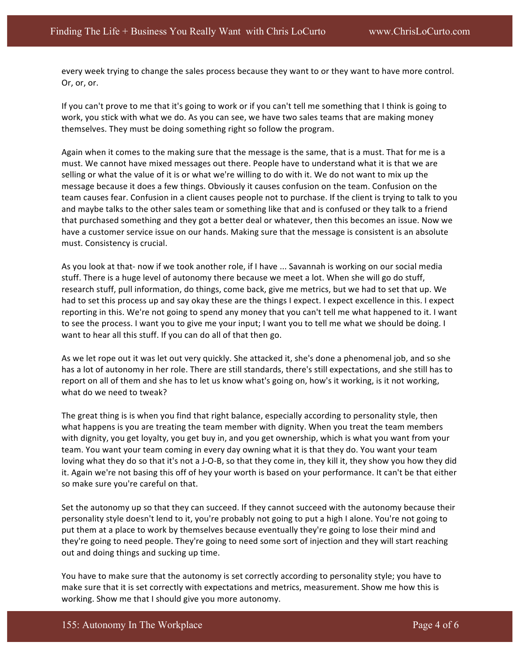every week trying to change the sales process because they want to or they want to have more control. Or, or, or.

If you can't prove to me that it's going to work or if you can't tell me something that I think is going to work, you stick with what we do. As you can see, we have two sales teams that are making money themselves. They must be doing something right so follow the program.

Again when it comes to the making sure that the message is the same, that is a must. That for me is a must. We cannot have mixed messages out there. People have to understand what it is that we are selling or what the value of it is or what we're willing to do with it. We do not want to mix up the message because it does a few things. Obviously it causes confusion on the team. Confusion on the team causes fear. Confusion in a client causes people not to purchase. If the client is trying to talk to you and maybe talks to the other sales team or something like that and is confused or they talk to a friend that purchased something and they got a better deal or whatever, then this becomes an issue. Now we have a customer service issue on our hands. Making sure that the message is consistent is an absolute must. Consistency is crucial.

As you look at that- now if we took another role, if I have ... Savannah is working on our social media stuff. There is a huge level of autonomy there because we meet a lot. When she will go do stuff, research stuff, pull information, do things, come back, give me metrics, but we had to set that up. We had to set this process up and say okay these are the things I expect. I expect excellence in this. I expect reporting in this. We're not going to spend any money that you can't tell me what happened to it. I want to see the process. I want you to give me your input; I want you to tell me what we should be doing. I want to hear all this stuff. If you can do all of that then go.

As we let rope out it was let out very quickly. She attacked it, she's done a phenomenal job, and so she has a lot of autonomy in her role. There are still standards, there's still expectations, and she still has to report on all of them and she has to let us know what's going on, how's it working, is it not working, what do we need to tweak?

The great thing is is when you find that right balance, especially according to personality style, then what happens is you are treating the team member with dignity. When you treat the team members with dignity, you get loyalty, you get buy in, and you get ownership, which is what you want from your team. You want your team coming in every day owning what it is that they do. You want your team loving what they do so that it's not a J-O-B, so that they come in, they kill it, they show you how they did it. Again we're not basing this off of hey your worth is based on your performance. It can't be that either so make sure you're careful on that.

Set the autonomy up so that they can succeed. If they cannot succeed with the autonomy because their personality style doesn't lend to it, you're probably not going to put a high I alone. You're not going to put them at a place to work by themselves because eventually they're going to lose their mind and they're going to need people. They're going to need some sort of injection and they will start reaching out and doing things and sucking up time.

You have to make sure that the autonomy is set correctly according to personality style; you have to make sure that it is set correctly with expectations and metrics, measurement. Show me how this is working. Show me that I should give you more autonomy.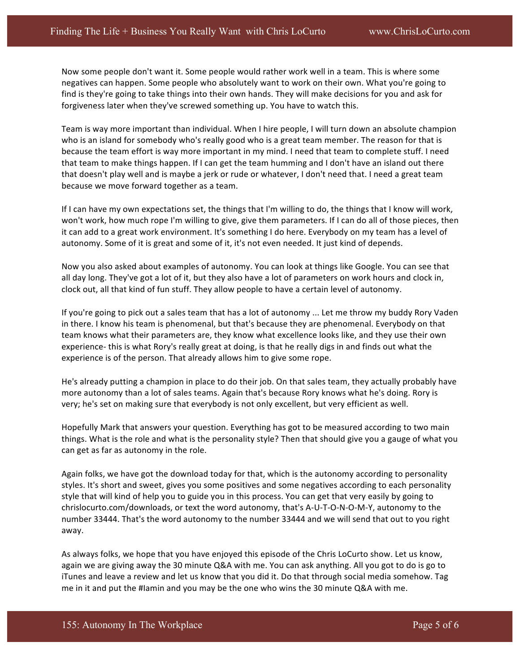Now some people don't want it. Some people would rather work well in a team. This is where some negatives can happen. Some people who absolutely want to work on their own. What you're going to find is they're going to take things into their own hands. They will make decisions for you and ask for forgiveness later when they've screwed something up. You have to watch this.

Team is way more important than individual. When I hire people, I will turn down an absolute champion who is an island for somebody who's really good who is a great team member. The reason for that is because the team effort is way more important in my mind. I need that team to complete stuff. I need that team to make things happen. If I can get the team humming and I don't have an island out there that doesn't play well and is maybe a jerk or rude or whatever, I don't need that. I need a great team because we move forward together as a team.

If I can have my own expectations set, the things that I'm willing to do, the things that I know will work, won't work, how much rope I'm willing to give, give them parameters. If I can do all of those pieces, then it can add to a great work environment. It's something I do here. Everybody on my team has a level of autonomy. Some of it is great and some of it, it's not even needed. It just kind of depends.

Now you also asked about examples of autonomy. You can look at things like Google. You can see that all day long. They've got a lot of it, but they also have a lot of parameters on work hours and clock in, clock out, all that kind of fun stuff. They allow people to have a certain level of autonomy.

If you're going to pick out a sales team that has a lot of autonomy ... Let me throw my buddy Rory Vaden in there. I know his team is phenomenal, but that's because they are phenomenal. Everybody on that team knows what their parameters are, they know what excellence looks like, and they use their own experience- this is what Rory's really great at doing, is that he really digs in and finds out what the experience is of the person. That already allows him to give some rope.

He's already putting a champion in place to do their job. On that sales team, they actually probably have more autonomy than a lot of sales teams. Again that's because Rory knows what he's doing. Rory is very; he's set on making sure that everybody is not only excellent, but very efficient as well.

Hopefully Mark that answers your question. Everything has got to be measured according to two main things. What is the role and what is the personality style? Then that should give you a gauge of what you can get as far as autonomy in the role.

Again folks, we have got the download today for that, which is the autonomy according to personality styles. It's short and sweet, gives you some positives and some negatives according to each personality style that will kind of help you to guide you in this process. You can get that very easily by going to chrislocurto.com/downloads, or text the word autonomy, that's A-U-T-O-N-O-M-Y, autonomy to the number 33444. That's the word autonomy to the number 33444 and we will send that out to you right away.

As always folks, we hope that you have enjoyed this episode of the Chris LoCurto show. Let us know, again we are giving away the 30 minute Q&A with me. You can ask anything. All you got to do is go to iTunes and leave a review and let us know that you did it. Do that through social media somehow. Tag me in it and put the #Iamin and you may be the one who wins the 30 minute Q&A with me.